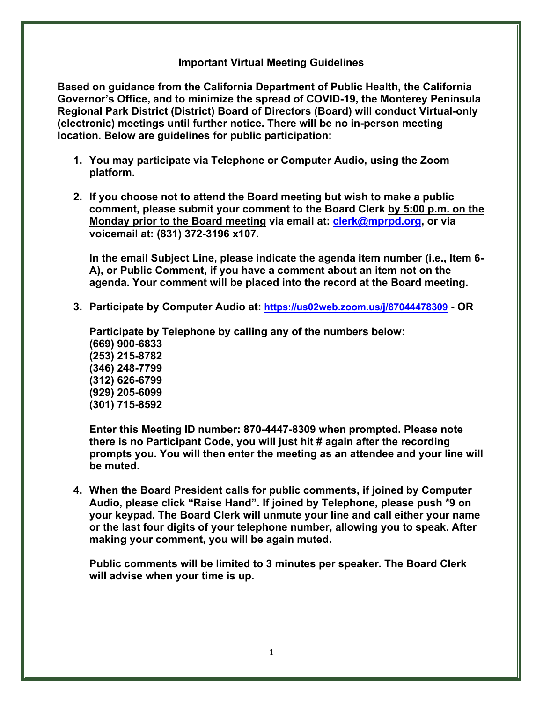### **Important Virtual Meeting Guidelines**

**Based on guidance from the California Department of Public Health, the California Governor's Office, and to minimize the spread of COVID-19, the Monterey Peninsula Regional Park District (District) Board of Directors (Board) will conduct Virtual-only (electronic) meetings until further notice. There will be no in-person meeting location. Below are guidelines for public participation:** 

- **1. You may participate via Telephone or Computer Audio, using the Zoom platform.**
- **2. If you choose not to attend the Board meeting but wish to make a public comment, please submit your comment to the Board Clerk by 5:00 p.m. on the Monday prior to the Board meeting via email at: [clerk@mprpd.org,](mailto:clerk@mprpd.org) or via voicemail at: (831) 372-3196 x107.**

**In the email Subject Line, please indicate the agenda item number (i.e., Item 6- A), or Public Comment, if you have a comment about an item not on the agenda. Your comment will be placed into the record at the Board meeting.**

**3. Participate by Computer Audio at: <https://us02web.zoom.us/j/87044478309>- OR** 

**Participate by Telephone by calling any of the numbers below: (669) 900-6833 (253) 215-8782 (346) 248-7799 (312) 626-6799 (929) 205-6099 (301) 715-8592**

**Enter this Meeting ID number: 870-4447-8309 when prompted. Please note there is no Participant Code, you will just hit # again after the recording prompts you. You will then enter the meeting as an attendee and your line will be muted.** 

**4. When the Board President calls for public comments, if joined by Computer Audio, please click "Raise Hand". If joined by Telephone, please push \*9 on your keypad. The Board Clerk will unmute your line and call either your name or the last four digits of your telephone number, allowing you to speak. After making your comment, you will be again muted.**

**Public comments will be limited to 3 minutes per speaker. The Board Clerk will advise when your time is up.**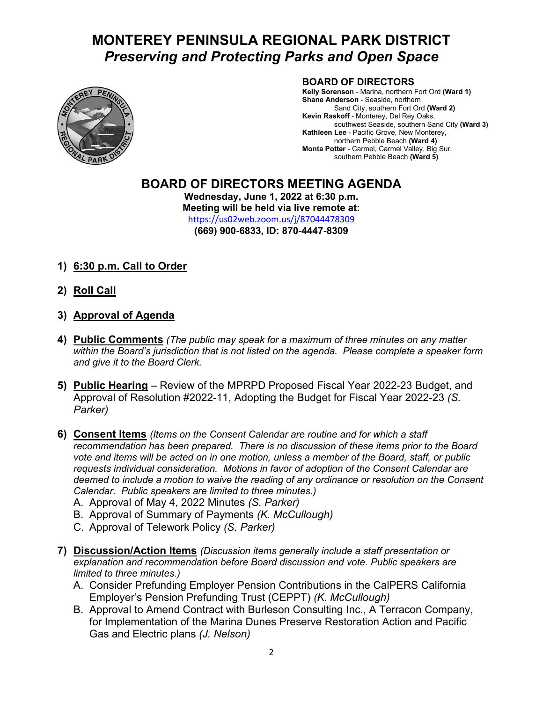# **MONTEREY PENINSULA REGIONAL PARK DISTRICT**  *Preserving and Protecting Parks and Open Space*



#### **BOARD OF DIRECTORS**

**Kelly Sorenson** - Marina, northern Fort Ord **(Ward 1) Shane Anderson** - Seaside, northern Sand City, southern Fort Ord **(Ward 2) Kevin Raskoff** - Monterey, Del Rey Oaks, southwest Seaside, southern Sand City **(Ward 3) Kathleen Lee** - Pacific Grove, New Monterey, northern Pebble Beach **(Ward 4) Monta Potter** - Carmel, Carmel Valley, Big Sur, southern Pebble Beach **(Ward 5)**

# **BOARD OF DIRECTORS MEETING AGENDA**

**Wednesday, June 1, 2022 at 6:30 p.m. Meeting will be held via live remote at:** <https://us02web.zoom.us/j/87044478309> **(669) 900-6833, ID: 870-4447-8309**

- **1) 6:30 p.m. Call to Order**
- **2) Roll Call**
- **3) Approval of Agenda**
- **4) Public Comments** *(The public may speak for a maximum of three minutes on any matter within the Board's jurisdiction that is not listed on the agenda. Please complete a speaker form and give it to the Board Clerk.*
- **5) Public Hearing** Review of the MPRPD Proposed Fiscal Year 2022-23 Budget, and Approval of Resolution #2022-11, Adopting the Budget for Fiscal Year 2022-23 *(S. Parker)*
- **6) Consent Items** *(Items on the Consent Calendar are routine and for which a staff recommendation has been prepared. There is no discussion of these items prior to the Board vote and items will be acted on in one motion, unless a member of the Board, staff, or public requests individual consideration. Motions in favor of adoption of the Consent Calendar are deemed to include a motion to waive the reading of any ordinance or resolution on the Consent Calendar. Public speakers are limited to three minutes.)*
	- A. Approval of May 4, 2022 Minutes *(S. Parker)*
	- B. Approval of Summary of Payments *(K. McCullough)*
	- C. Approval of Telework Policy *(S. Parker)*
- **7) Discussion/Action Items** *(Discussion items generally include a staff presentation or explanation and recommendation before Board discussion and vote. Public speakers are limited to three minutes.)*
	- A. Consider Prefunding Employer Pension Contributions in the CalPERS California Employer's Pension Prefunding Trust (CEPPT) *(K. McCullough)*
	- B. Approval to Amend Contract with Burleson Consulting Inc., A Terracon Company, for Implementation of the Marina Dunes Preserve Restoration Action and Pacific Gas and Electric plans *(J. Nelson)*